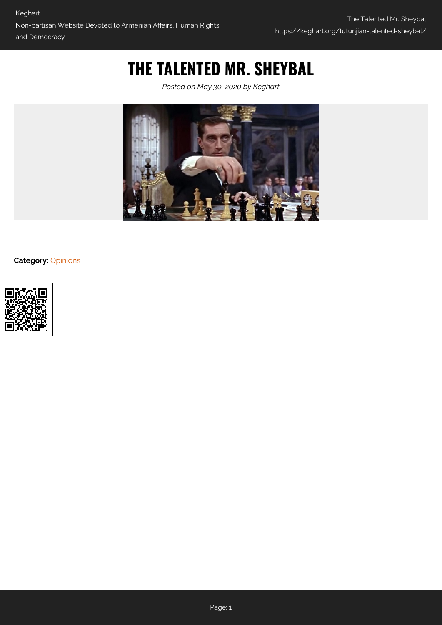## **THE TALENTED MR. SHEYBAL**

*Posted on May 30, 2020 by Keghart*



**Category:** [Opinions](https://keghart.org/category/opinions/)

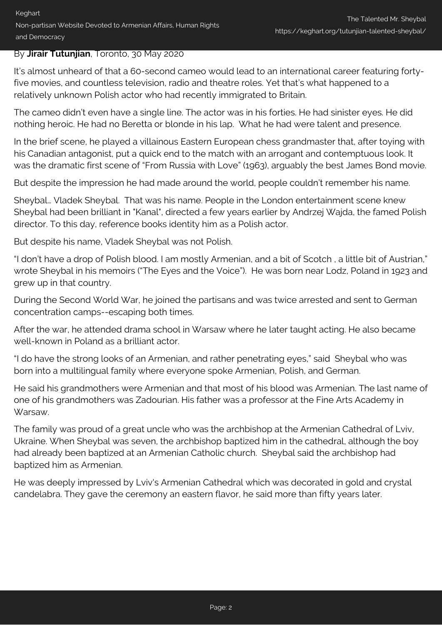## By **Jirair Tutunjian**, Toronto, 30 May 2020

It's almost unheard of that a 60-second cameo would lead to an international career featuring fortyfive movies, and countless television, radio and theatre roles. Yet that's what happened to a relatively unknown Polish actor who had recently immigrated to Britain.

The cameo didn't even have a single line. The actor was in his forties. He had sinister eyes. He did nothing heroic. He had no Beretta or blonde in his lap. What he had were talent and presence.

In the brief scene, he played a villainous Eastern European chess grandmaster that, after toying with his Canadian antagonist, put a quick end to the match with an arrogant and contemptuous look. It was the dramatic first scene of "From Russia with Love" (1963), arguably the best James Bond movie.

But despite the impression he had made around the world, people couldn't remember his name.

Sheybal… Vladek Sheybal. That was his name. People in the London entertainment scene knew Sheybal had been brilliant in "Kanal", directed a few years earlier by Andrzej Wajda, the famed Polish director. To this day, reference books identity him as a Polish actor.

But despite his name, Vladek Sheybal was not Polish.

"I don't have a drop of Polish blood. I am mostly Armenian, and a bit of Scotch , a little bit of Austrian," wrote Sheybal in his memoirs ("The Eyes and the Voice"). He was born near Lodz, Poland in 1923 and grew up in that country.

During the Second World War, he joined the partisans and was twice arrested and sent to German concentration camps--escaping both times.

After the war, he attended drama school in Warsaw where he later taught acting. He also became well-known in Poland as a brilliant actor.

"I do have the strong looks of an Armenian, and rather penetrating eyes," said Sheybal who was born into a multilingual family where everyone spoke Armenian, Polish, and German.

He said his grandmothers were Armenian and that most of his blood was Armenian. The last name of one of his grandmothers was Zadourian. His father was a professor at the Fine Arts Academy in Warsaw.

The family was proud of a great uncle who was the archbishop at the Armenian Cathedral of Lviv, Ukraine. When Sheybal was seven, the archbishop baptized him in the cathedral, although the boy had already been baptized at an Armenian Catholic church. Sheybal said the archbishop had baptized him as Armenian.

He was deeply impressed by Lviv's Armenian Cathedral which was decorated in gold and crystal candelabra. They gave the ceremony an eastern flavor, he said more than fifty years later.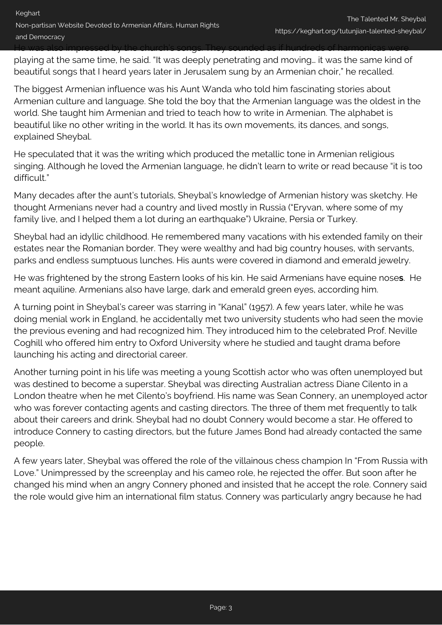playing at the same time, he said. "It was deeply penetrating and moving… it was the same kind of beautiful songs that I heard years later in Jerusalem sung by an Armenian choir," he recalled.

The biggest Armenian influence was his Aunt Wanda who told him fascinating stories about Armenian culture and language. She told the boy that the Armenian language was the oldest in the world. She taught him Armenian and tried to teach how to write in Armenian. The alphabet is beautiful like no other writing in the world. It has its own movements, its dances, and songs, explained Sheybal.

He speculated that it was the writing which produced the metallic tone in Armenian religious singing. Although he loved the Armenian language, he didn't learn to write or read because "it is too difficult."

Many decades after the aunt's tutorials, Sheybal's knowledge of Armenian history was sketchy. He thought Armenians never had a country and lived mostly in Russia ("Eryvan, where some of my family live, and I helped them a lot during an earthquake") Ukraine, Persia or Turkey.

Sheybal had an idyllic childhood. He remembered many vacations with his extended family on their estates near the Romanian border. They were wealthy and had big country houses, with servants, parks and endless sumptuous lunches. His aunts were covered in diamond and emerald jewelry.

He was frightened by the strong Eastern looks of his kin. He said Armenians have equine nose**s**. He meant aquiline. Armenians also have large, dark and emerald green eyes, according him.

A turning point in Sheybal's career was starring in "Kanal" (1957). A few years later, while he was doing menial work in England, he accidentally met two university students who had seen the movie the previous evening and had recognized him. They introduced him to the celebrated Prof. Neville Coghill who offered him entry to Oxford University where he studied and taught drama before launching his acting and directorial career.

Another turning point in his life was meeting a young Scottish actor who was often unemployed but was destined to become a superstar. Sheybal was directing Australian actress Diane Cilento in a London theatre when he met Cilento's boyfriend. His name was Sean Connery, an unemployed actor who was forever contacting agents and casting directors. The three of them met frequently to talk about their careers and drink. Sheybal had no doubt Connery would become a star. He offered to introduce Connery to casting directors, but the future James Bond had already contacted the same people.

A few years later, Sheybal was offered the role of the villainous chess champion In "From Russia with Love." Unimpressed by the screenplay and his cameo role, he rejected the offer. But soon after he changed his mind when an angry Connery phoned and insisted that he accept the role. Connery said the role would give him an international film status. Connery was particularly angry because he had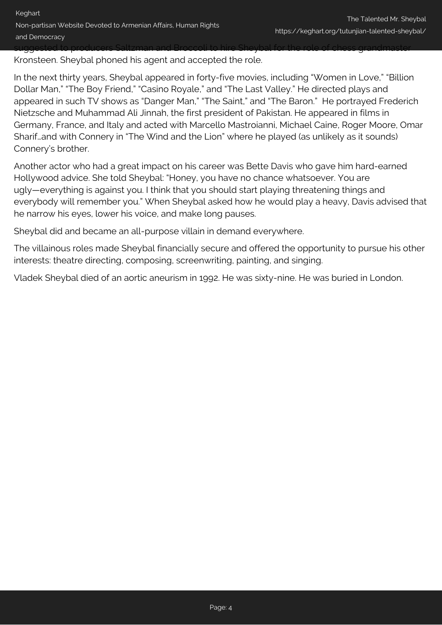Kronsteen. Sheybal phoned his agent and accepted the role.

In the next thirty years, Sheybal appeared in forty-five movies, including "Women in Love," "Billion Dollar Man," "The Boy Friend," "Casino Royale," and "The Last Valley." He directed plays and appeared in such TV shows as "Danger Man," "The Saint," and "The Baron." He portrayed Frederich Nietzsche and Muhammad Ali Jinnah, the first president of Pakistan. He appeared in films in Germany, France, and Italy and acted with Marcello Mastroianni, Michael Caine, Roger Moore, Omar Sharif…and with Connery in "The Wind and the Lion" where he played (as unlikely as it sounds) Connery's brother.

Another actor who had a great impact on his career was Bette Davis who gave him hard-earned Hollywood advice. She told Sheybal: "Honey, you have no chance whatsoever. You are ugly—everything is against you. I think that you should start playing threatening things and everybody will remember you." When Sheybal asked how he would play a heavy, Davis advised that he narrow his eyes, lower his voice, and make long pauses.

Sheybal did and became an all-purpose villain in demand everywhere.

The villainous roles made Sheybal financially secure and offered the opportunity to pursue his other interests: theatre directing, composing, screenwriting, painting, and singing.

Vladek Sheybal died of an aortic aneurism in 1992. He was sixty-nine. He was buried in London.